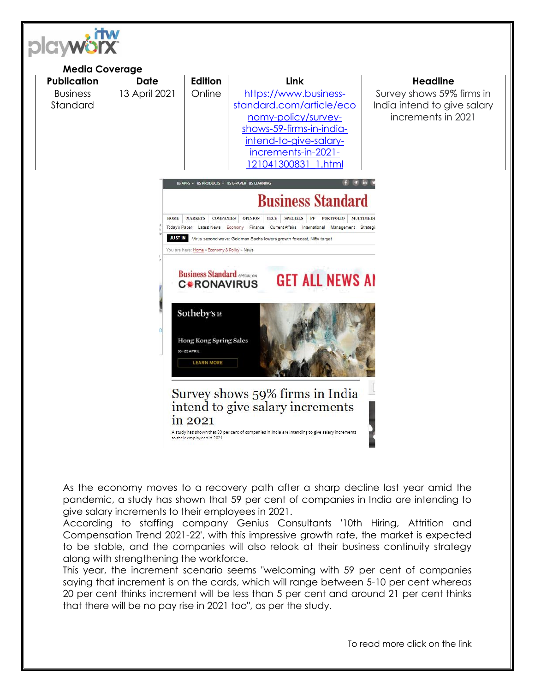

| <b>Media Coverage</b> |               |                |                          |                             |
|-----------------------|---------------|----------------|--------------------------|-----------------------------|
| <b>Publication</b>    | <b>Date</b>   | <b>Edition</b> | Link                     | <b>Headline</b>             |
| <b>Business</b>       | 13 April 2021 | Online         | https://www.business-    | Survey shows 59% firms in   |
| Standard              |               |                | standard.com/article/eco | India intend to give salary |
|                       |               |                | nomy-policy/survey-      | increments in 2021          |
|                       |               |                | shows-59-firms-in-india- |                             |
|                       |               |                | intend-to-give-salary-   |                             |
|                       |               |                | increments-in-2021-      |                             |
|                       |               |                | 121041300831 1.html      |                             |



As the economy moves to a recovery path after a sharp decline last year amid the pandemic, a study has shown that 59 per cent of companies in India are intending to give salary increments to their employees in 2021.

According to staffing company Genius Consultants '10th Hiring, Attrition and Compensation Trend 2021-22', with this impressive growth rate, the market is expected to be stable, and the companies will also relook at their business continuity strategy along with strengthening the workforce.

This year, the increment scenario seems "welcoming with 59 per cent of companies saying that increment is on the cards, which will range between 5-10 per cent whereas 20 per cent thinks increment will be less than 5 per cent and around 21 per cent thinks that there will be no pay rise in 2021 too", as per the study.

To read more click on the link